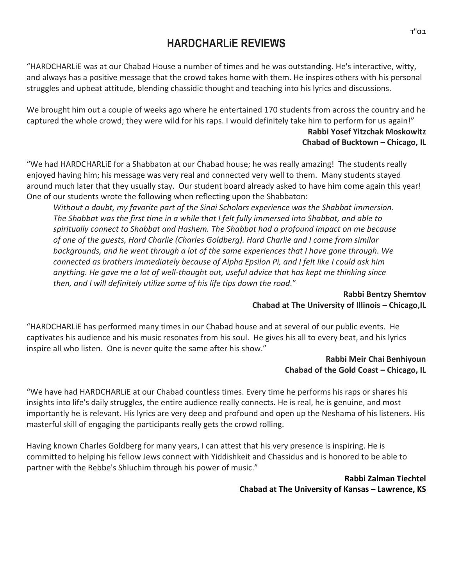# **HARDCHARLiE REVIEWS**

"HARDCHARLiE was at our Chabad House a number of times and he was outstanding. He's interactive, witty, and always has a positive message that the crowd takes home with them. He inspires others with his personal struggles and upbeat attitude, blending chassidic thought and teaching into his lyrics and discussions.

We brought him out a couple of weeks ago where he entertained 170 students from across the country and he captured the whole crowd; they were wild for his raps. I would definitely take him to perform for us again!" **Rabbi Yosef Yitzchak Moskowitz Chabad of Bucktown – Chicago, IL**

"We had HARDCHARLiE for a Shabbaton at our Chabad house; he was really amazing! The students really enjoyed having him; his message was very real and connected very well to them. Many students stayed around much later that they usually stay. Our student board already asked to have him come again this year! One of our students wrote the following when reflecting upon the Shabbaton:

*Without a doubt, my favorite part of the Sinai Scholars experience was the Shabbat immersion. The Shabbat was the first time in a while that I felt fully immersed into Shabbat, and able to spiritually connect to Shabbat and Hashem. The Shabbat had a profound impact on me because of one of the guests, Hard Charlie (Charles Goldberg). Hard Charlie and I come from similar backgrounds, and he went through a lot of the same experiences that I have gone through. We connected as brothers immediately because of Alpha Epsilon Pi, and I felt like I could ask him anything. He gave me a lot of well-thought out, useful advice that has kept me thinking since then, and I will definitely utilize some of his life tips down the road.*"

> **Rabbi Bentzy Shemtov Chabad at The University of Illinois – Chicago,IL**

"HARDCHARLiE has performed many times in our Chabad house and at several of our public events. He captivates his audience and his music resonates from his soul. He gives his all to every beat, and his lyrics inspire all who listen. One is never quite the same after his show."

## **Rabbi Meir Chai Benhiyoun Chabad of the Gold Coast - Chicago, IL**

"We have had HARDCHARLiE at our Chabad countless times. Every time he performs his raps or shares his insights into life's daily struggles, the entire audience really connects. He is real, he is genuine, and most importantly he is relevant. His lyrics are very deep and profound and open up the Neshama of his listeners. His masterful skill of engaging the participants really gets the crowd rolling.

Having known Charles Goldberg for many years, I can attest that his very presence is inspiring. He is committed to helping his fellow Jews connect with Yiddishkeit and Chassidus and is honored to be able to partner with the Rebbe's Shluchim through his power of music."

> **Rabbi Zalman Tiechtel Chabad at The University of Kansas – Lawrence, KS**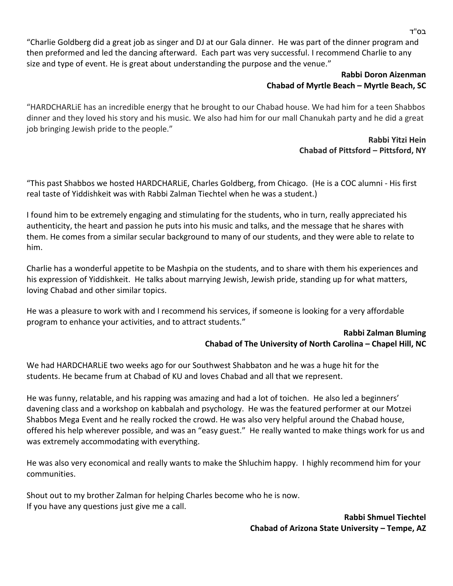"Charlie Goldberg did a great job as singer and DJ at our Gala dinner. He was part of the dinner program and then preformed and led the dancing afterward. Each part was very successful. I recommend Charlie to any size and type of event. He is great about understanding the purpose and the venue."

## **Rabbi Doron Aizenman Chabad of Myrtle Beach – Myrtle Beach, SC**

"HARDCHARLiE has an incredible energy that he brought to our Chabad house. We had him for a teen Shabbos dinner and they loved his story and his music. We also had him for our mall Chanukah party and he did a great job bringing Jewish pride to the people."

# **Rabbi Yitzi Hein Chabad of Pittsford – Pittsford, NY**

"This past Shabbos we hosted HARDCHARLiE, Charles Goldberg, from Chicago. (He is a COC alumni - His first real taste of Yiddishkeit was with Rabbi Zalman Tiechtel when he was a student.)

I found him to be extremely engaging and stimulating for the students, who in turn, really appreciated his authenticity, the heart and passion he puts into his music and talks, and the message that he shares with them. He comes from a similar secular background to many of our students, and they were able to relate to him.

Charlie has a wonderful appetite to be Mashpia on the students, and to share with them his experiences and his expression of Yiddishkeit. He talks about marrying Jewish, Jewish pride, standing up for what matters, loving Chabad and other similar topics.

He was a pleasure to work with and I recommend his services, if someone is looking for a very affordable program to enhance your activities, and to attract students."

### **Rabbi Zalman Bluming Chabad of The University of North Carolina – Chapel Hill, NC**

We had HARDCHARLiE two weeks ago for our Southwest Shabbaton and he was a huge hit for the students. He became frum at Chabad of KU and loves Chabad and all that we represent.

He was funny, relatable, and his rapping was amazing and had a lot of toichen. He also led a beginners' davening class and a workshop on kabbalah and psychology. He was the featured performer at our Motzei Shabbos Mega Event and he really rocked the crowd. He was also very helpful around the Chabad house, offered his help wherever possible, and was an "easy guest." He really wanted to make things work for us and was extremely accommodating with everything.

He was also very economical and really wants to make the Shluchim happy. I highly recommend him for your communities.

Shout out to my brother Zalman for helping Charles become who he is now. If you have any questions just give me a call.

> **Rabbi Shmuel Tiechtel Chabad of Arizona State University – Tempe, AZ**

בס"ד